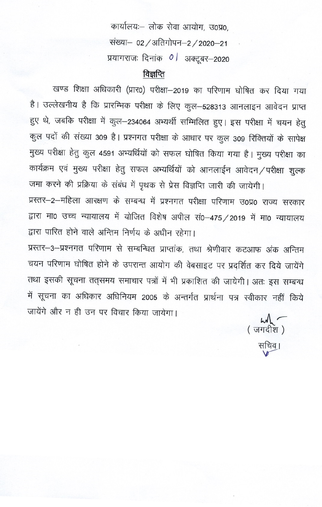कार्यालयः- लोक सेवा आयोग, उ0प्र0, संख्या- 02 / अतिगोपन-2 / 2020-21 प्रयागराजः दिनांक 0 / अक्टूबर-2020

# विज्ञप्ति

खण्ड शिक्षा अधिकारी (प्रार0) परीक्षा-2019 का परिणाम घोषित कर दिया गया है। उल्लेखनीय है कि प्रारम्भिक परीक्षा के लिए कुल-528313 आनलाइन आवेदन प्राप्त हुए थे, जबकि परीक्षा में कुल-234064 अभ्यर्थी सम्मिलित हुए। इस परीक्षा में चयन हेतु कुल पदों की संख्या 309 है। प्रश्नगत परीक्षा के आधार पर कुल 309 रिक्तियों के सापेक्ष मुख्य परीक्षा हेतु कुल 4591 अभ्यर्थियों को सफल घोषित किया गया है। मुख्य परीक्षा का कार्यक्रम एवं मुख्य परीक्षा हेतु सफल अभ्यर्थियों को आनलाईन आवेदन/परीक्षा शुल्क जमा करने की प्रक्रिया के संबंध में पृथक से प्रेस विज्ञप्ति जारी की जायेगी। प्रस्तर-2-महिला आरक्षण के सम्बन्ध में प्रश्नगत परीक्षा परिणाम उ0प्र0 राज्य सरकार द्वारा मा0 उच्च न्यायालय में योजित विशेष अपील सं0-475 / 2019 में मा0 न्यायालय द्रारा पारित होने वाले अन्तिम निर्णय के अधीन रहेगा।

प्रस्तर-3-प्रश्नगत परिणाम से सम्बन्धित प्राप्तांक, तथा श्रेणीवार कटआफ अंक अन्तिम चयन परिणाम घोषित होने के उपरान्त आयोग की वेबसाइट पर प्रदर्शित कर दिये जायेंगे तथा इसकी सूचना तत्समय समाचार पत्रों में भी प्रकाशित की जायेगी। अतः इस सम्बन्ध में सूचना का अधिकार अधिनियम 2005 के अन्तर्गत प्रार्थना पत्र स्वीकार नहीं किये जायेंगे और न ही उन पर विचार किया जायेगा।

 $h$ ( जगदीश ) सचिव।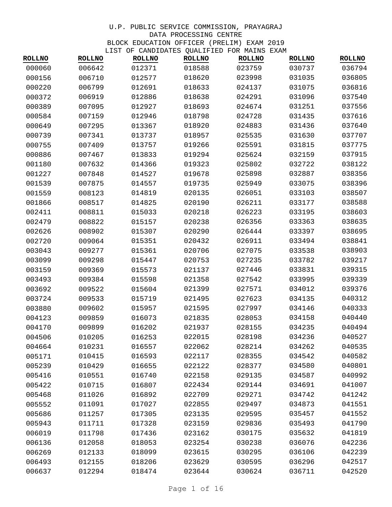| <b>ROLLNO</b> | <b>ROLLNO</b> | TIPI OL CAMPIDATEP ÕOUTILIED LOK MUINP<br><b>ROLLNO</b> | <b>ROLLNO</b> | <b>ROLLNO</b> | <b>LAAI'I</b><br><b>ROLLNO</b> | <b>ROLLNO</b> |
|---------------|---------------|---------------------------------------------------------|---------------|---------------|--------------------------------|---------------|
| 000060        | 006642        | 012371                                                  | 018588        | 023759        | 030737                         | 036794        |
| 000156        | 006710        | 012577                                                  | 018620        | 023998        | 031035                         | 036805        |
| 000220        | 006799        | 012691                                                  | 018633        | 024137        | 031075                         | 036816        |
| 000372        | 006919        | 012886                                                  | 018638        | 024291        | 031096                         | 037540        |
| 000389        | 007095        | 012927                                                  | 018693        | 024674        | 031251                         | 037556        |
| 000584        | 007159        | 012946                                                  | 018798        | 024728        | 031435                         | 037616        |
| 000649        | 007295        | 013367                                                  | 018920        | 024883        | 031436                         | 037640        |
| 000739        | 007341        | 013737                                                  | 018957        | 025535        | 031630                         | 037707        |
| 000755        | 007409        | 013757                                                  | 019266        | 025591        | 031815                         | 037775        |
| 000886        | 007467        | 013833                                                  | 019294        | 025624        | 032159                         | 037915        |
| 001180        | 007632        | 014366                                                  | 019323        | 025802        | 032722                         | 038122        |
| 001227        | 007848        | 014527                                                  | 019678        | 025898        | 032887                         | 038356        |
| 001539        | 007875        | 014557                                                  | 019735        | 025949        | 033075                         | 038396        |
| 001559        | 008123        | 014819                                                  | 020135        | 026051        | 033103                         | 038507        |
| 001866        | 008517        | 014825                                                  | 020190        | 026211        | 033177                         | 038588        |
| 002411        | 008811        | 015033                                                  | 020218        | 026223        | 033195                         | 038603        |
| 002479        | 008822        | 015157                                                  | 020238        | 026356        | 033363                         | 038635        |
| 002626        | 008902        | 015307                                                  | 020290        | 026444        | 033397                         | 038695        |
| 002720        | 009064        | 015351                                                  | 020432        | 026911        | 033494                         | 038841        |
| 003043        | 009277        | 015361                                                  | 020706        | 027075        | 033538                         | 038903        |
| 003099        | 009298        | 015447                                                  | 020753        | 027235        | 033782                         | 039217        |
| 003159        | 009369        | 015573                                                  | 021137        | 027446        | 033831                         | 039315        |
| 003493        | 009384        | 015598                                                  | 021358        | 027542        | 033995                         | 039339        |
| 003692        | 009522        | 015604                                                  | 021399        | 027571        | 034012                         | 039376        |
| 003724        | 009533        | 015719                                                  | 021495        | 027623        | 034135                         | 040312        |
| 003880        | 009602        | 015957                                                  | 021595        | 027997        | 034146                         | 040333        |
| 004123        | 009859        | 016073                                                  | 021835        | 028053        | 034158                         | 040440        |
| 004170        | 009899        | 016202                                                  | 021937        | 028155        | 034235                         | 040494        |
| 004506        | 010205        | 016253                                                  | 022015        | 028198        | 034236                         | 040527        |
| 004664        | 010231        | 016557                                                  | 022062        | 028214        | 034262                         | 040535        |
| 005171        | 010415        | 016593                                                  | 022117        | 028355        | 034542                         | 040582        |
| 005239        | 010429        | 016655                                                  | 022122        | 028377        | 034580                         | 040801        |
| 005416        | 010551        | 016740                                                  | 022158        | 029135        | 034587                         | 040992        |
| 005422        |               |                                                         | 022434        | 029144        | 034691                         | 041007        |
| 005468        | 010715        | 016807<br>016892                                        | 022709        | 029271        | 034742                         | 041242        |
|               | 011026        |                                                         |               |               |                                |               |
| 005552        | 011091        | 017027                                                  | 022855        | 029497        | 034873                         | 041551        |
| 005686        | 011257        | 017305                                                  | 023135        | 029595        | 035457                         | 041552        |
| 005943        | 011711        | 017328                                                  | 023159        | 029836        | 035493                         | 041790        |
| 006019        | 011798        | 017436                                                  | 023162        | 030175        | 035632                         | 041819        |
| 006136        | 012058        | 018053                                                  | 023254        | 030238        | 036076                         | 042236        |
| 006269        | 012133        | 018099                                                  | 023615        | 030295        | 036106                         | 042239        |
| 006493        | 012155        | 018206                                                  | 023629        | 030595        | 036296                         | 042517        |
| 006637        | 012294        | 018474                                                  | 023644        | 030624        | 036711                         | 042520        |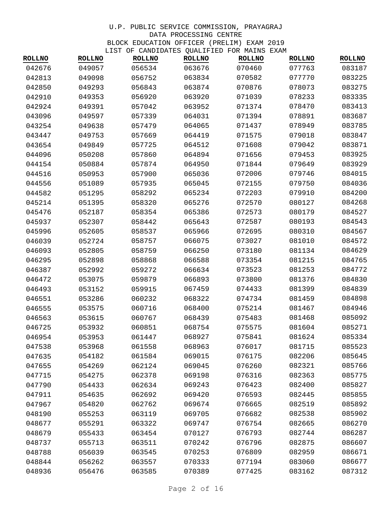| <b>ROLLNO</b> | <b>ROLLNO</b> | <b>ROLLNO</b> | CHAPIDAIND QUANTITION I OR PAIND<br><b>ROLLNO</b> | <b>ROLLNO</b> | <b>ROLLNO</b> | <b>ROLLNO</b> |
|---------------|---------------|---------------|---------------------------------------------------|---------------|---------------|---------------|
| 042676        | 049057        | 056534        | 063676                                            | 070460        | 077763        | 083187        |
| 042813        | 049098        | 056752        | 063834                                            | 070582        | 077770        | 083225        |
| 042850        | 049293        | 056843        | 063874                                            | 070876        | 078073        | 083275        |
| 042910        | 049353        | 056920        | 063920                                            | 071039        | 078233        | 083335        |
| 042924        | 049391        | 057042        | 063952                                            | 071374        | 078470        | 083413        |
| 043096        | 049597        | 057339        | 064031                                            | 071394        | 078891        | 083687        |
| 043254        | 049638        | 057479        | 064065                                            | 071437        | 078949        | 083785        |
| 043447        | 049753        | 057669        | 064419                                            | 071575        | 079018        | 083847        |
| 043654        | 049849        | 057725        | 064512                                            | 071608        | 079042        | 083871        |
| 044096        | 050208        | 057860        | 064894                                            | 071656        | 079453        | 083925        |
| 044154        | 050884        | 057874        | 064950                                            | 071844        | 079649        | 083929        |
| 044516        | 050953        | 057900        | 065036                                            | 072006        | 079746        | 084015        |
| 044556        | 051089        | 057935        | 065045                                            | 072155        | 079750        | 084036        |
| 044582        | 051295        | 058292        | 065234                                            | 072203        | 079910        | 084200        |
| 045214        | 051395        | 058320        | 065276                                            | 072570        | 080127        | 084268        |
| 045476        | 052187        | 058354        | 065386                                            | 072573        | 080179        | 084527        |
| 045937        | 052307        | 058442        | 065643                                            | 072587        | 080193        | 084543        |
| 045996        | 052605        | 058537        | 065966                                            | 072695        | 080310        | 084567        |
| 046039        | 052724        | 058757        | 066075                                            | 073027        | 081010        | 084572        |
| 046093        | 052805        | 058759        | 066250                                            | 073180        | 081134        | 084629        |
| 046295        | 052898        | 058868        | 066588                                            | 073354        | 081215        | 084765        |
| 046387        | 052992        | 059272        | 066634                                            | 073523        | 081253        | 084772        |
| 046472        | 053075        | 059879        | 066893                                            | 073800        | 081376        | 084830        |
| 046493        | 053152        | 059915        | 067459                                            | 074433        | 081399        | 084839        |
| 046551        | 053286        | 060232        | 068322                                            | 074734        | 081459        | 084898        |
| 046555        | 053575        | 060716        | 068400                                            | 075214        | 081467        | 084946        |
| 046563        | 053615        | 060767        | 068439                                            | 075483        | 081468        | 085092        |
| 046725        | 053932        | 060851        | 068754                                            | 075575        | 081604        | 085271        |
| 046954        | 053953        | 061447        | 068927                                            | 075841        | 081624        | 085334        |
| 047538        | 053968        | 061558        | 068963                                            | 076017        | 081715        | 085523        |
| 047635        | 054182        | 061584        | 069015                                            | 076175        | 082206        | 085645        |
| 047655        | 054269        | 062124        | 069045                                            | 076260        | 082321        | 085766        |
| 047715        | 054275        | 062378        | 069198                                            | 076316        | 082363        | 085775        |
| 047790        | 054433        | 062634        | 069243                                            | 076423        | 082400        | 085827        |
| 047911        | 054635        | 062692        | 069420                                            | 076593        | 082445        | 085855        |
| 047967        | 054820        | 062762        | 069674                                            | 076665        | 082519        | 085892        |
| 048190        | 055253        | 063119        | 069705                                            | 076682        | 082538        | 085902        |
| 048677        | 055291        | 063322        | 069747                                            | 076754        | 082665        | 086270        |
| 048679        | 055433        | 063454        | 070127                                            | 076793        | 082744        | 086287        |
| 048737        | 055713        | 063511        | 070242                                            | 076796        | 082875        | 086607        |
| 048788        | 056039        | 063545        | 070253                                            | 076809        | 082959        | 086671        |
| 048844        | 056262        | 063557        | 070333                                            | 077194        | 083060        | 086677        |
| 048936        | 056476        | 063585        | 070389                                            | 077425        | 083162        | 087312        |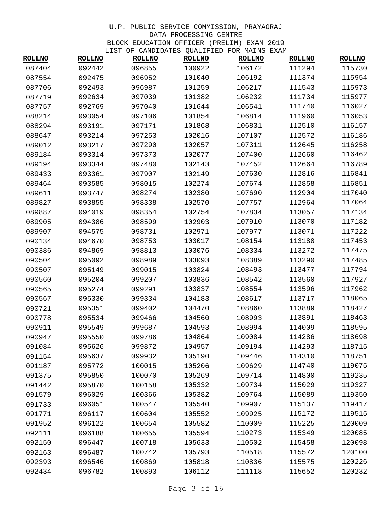| <b>ROLLNO</b> | <b>ROLLNO</b> | <b>ROLLNO</b> | <b>ROLLNO</b> | <b>ROLLNO</b> | <b>ROLLNO</b> | <b>ROLLNO</b> |
|---------------|---------------|---------------|---------------|---------------|---------------|---------------|
| 087404        | 092442        | 096855        | 100922        | 106172        | 111294        | 115730        |
| 087554        | 092475        | 096952        | 101040        | 106192        | 111374        | 115954        |
| 087706        | 092493        | 096987        | 101259        | 106217        | 111543        | 115973        |
| 087719        | 092634        | 097039        | 101382        | 106232        | 111734        | 115977        |
| 087757        | 092769        | 097040        | 101644        | 106541        | 111740        | 116027        |
| 088214        | 093054        | 097106        | 101854        | 106814        | 111960        | 116053        |
| 088294        | 093191        | 097171        | 101868        | 106831        | 112510        | 116157        |
| 088647        | 093214        | 097253        | 102016        | 107107        | 112572        | 116186        |
| 089012        | 093217        | 097290        | 102057        | 107311        | 112645        | 116258        |
| 089184        | 093314        | 097373        | 102077        | 107400        | 112660        | 116462        |
| 089194        | 093344        | 097480        | 102143        | 107452        | 112664        | 116789        |
| 089433        | 093361        | 097907        | 102149        | 107630        | 112816        | 116841        |
| 089464        | 093585        | 098015        | 102274        | 107674        | 112858        | 116851        |
| 089611        | 093747        | 098274        | 102380        | 107690        | 112904        | 117040        |
| 089827        | 093855        | 098338        | 102570        | 107757        | 112964        | 117064        |
| 089887        | 094019        | 098354        | 102754        | 107834        | 113057        | 117134        |
| 089905        | 094386        | 098599        | 102903        | 107910        | 113070        | 117182        |
| 089907        | 094575        | 098731        | 102971        | 107977        | 113071        | 117222        |
| 090134        | 094670        | 098753        | 103017        | 108154        | 113188        | 117453        |
| 090386        | 094869        | 098813        | 103076        | 108334        | 113272        | 117475        |
| 090504        | 095092        | 098989        | 103093        | 108389        | 113290        | 117485        |
| 090507        | 095149        | 099015        | 103824        | 108493        | 113477        | 117794        |
| 090560        | 095204        | 099207        | 103836        | 108542        | 113560        | 117927        |
| 090565        | 095274        | 099291        | 103837        | 108554        | 113596        | 117962        |
| 090567        | 095330        | 099334        | 104183        | 108617        | 113717        | 118065        |
| 090721        | 095351        | 099402        | 104470        | 108860        | 113889        | 118427        |
| 090778        | 095534        | 099466        | 104560        | 108993        | 113891        | 118463        |
| 090911        | 095549        | 099687        | 104593        | 108994        | 114009        | 118595        |
| 090947        | 095550        | 099786        | 104864        | 109084        | 114286        | 118698        |
| 091084        | 095626        | 099872        | 104957        | 109194        | 114293        | 118715        |
| 091154        | 095637        | 099932        | 105190        | 109446        | 114310        | 118751        |
| 091187        | 095772        | 100015        | 105206        | 109629        | 114740        | 119075        |
| 091375        | 095850        | 100070        | 105269        | 109714        | 114800        | 119235        |
| 091442        | 095870        | 100158        | 105332        | 109734        | 115029        | 119327        |
| 091579        | 096029        | 100366        | 105382        | 109764        | 115089        | 119350        |
| 091733        | 096051        | 100547        | 105540        | 109907        | 115137        | 119417        |
| 091771        | 096117        | 100604        | 105552        | 109925        | 115172        | 119515        |
| 091952        | 096122        | 100654        | 105582        | 110009        | 115225        | 120009        |
| 092111        | 096188        | 100655        | 105594        | 110273        | 115349        | 120085        |
| 092150        | 096447        | 100718        | 105633        | 110502        | 115458        | 120098        |
| 092163        | 096487        | 100742        | 105793        | 110518        | 115572        | 120100        |
| 092393        | 096546        | 100869        | 105818        | 110836        | 115575        | 120226        |
| 092434        | 096782        | 100893        | 106112        | 111118        | 115652        | 120232        |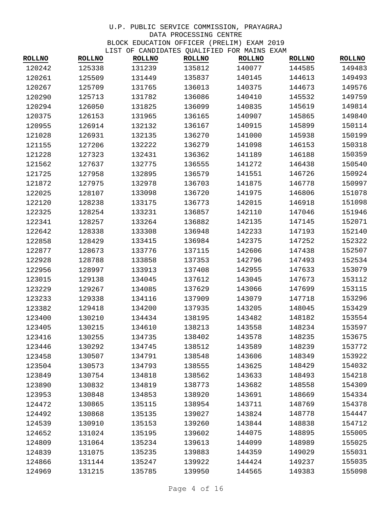| <b>ROLLNO</b> | <b>ROLLNO</b> | <b>ROLLNO</b> | Of Christian gones for mining<br><b>ROLLNO</b> | <b>ROLLNO</b> | <b>ROLLNO</b> | <b>ROLLNO</b> |
|---------------|---------------|---------------|------------------------------------------------|---------------|---------------|---------------|
| 120242        | 125338        | 131239        | 135812                                         | 140077        | 144585        | 149483        |
| 120261        | 125509        | 131449        | 135837                                         | 140145        | 144613        | 149493        |
| 120267        | 125709        | 131765        | 136013                                         | 140375        | 144673        | 149576        |
| 120290        | 125713        | 131782        | 136086                                         | 140410        | 145532        | 149759        |
| 120294        | 126050        | 131825        | 136099                                         | 140835        | 145619        | 149814        |
| 120375        | 126153        | 131965        | 136165                                         | 140907        | 145865        | 149840        |
| 120955        | 126914        | 132132        | 136167                                         | 140915        | 145899        | 150114        |
| 121028        | 126931        | 132135        | 136270                                         | 141000        | 145938        | 150199        |
| 121155        | 127206        | 132222        | 136279                                         | 141098        | 146153        | 150318        |
| 121228        | 127323        | 132431        | 136362                                         | 141189        | 146188        | 150359        |
| 121562        | 127637        | 132775        | 136555                                         | 141272        | 146438        | 150540        |
| 121725        | 127958        | 132895        | 136579                                         | 141551        | 146726        | 150924        |
| 121872        | 127975        | 132978        | 136703                                         | 141875        | 146778        | 150997        |
| 122025        | 128107        | 133098        | 136720                                         | 141975        | 146806        | 151078        |
| 122120        | 128238        | 133175        | 136773                                         | 142015        | 146918        | 151098        |
| 122325        | 128254        | 133231        | 136857                                         | 142110        | 147046        | 151946        |
| 122341        | 128257        | 133264        | 136882                                         | 142135        | 147145        | 152071        |
| 122642        | 128338        | 133308        | 136948                                         | 142233        | 147193        | 152140        |
| 122858        | 128429        | 133415        | 136984                                         | 142375        | 147252        | 152322        |
| 122877        | 128673        | 133776        | 137115                                         | 142606        | 147438        | 152507        |
| 122928        | 128788        | 133858        | 137353                                         | 142796        | 147493        | 152534        |
| 122956        | 128997        | 133913        | 137408                                         | 142955        | 147633        | 153079        |
| 123015        | 129138        | 134045        | 137612                                         | 143045        | 147673        | 153112        |
| 123229        | 129267        | 134085        | 137629                                         | 143066        | 147699        | 153115        |
| 123233        | 129338        | 134116        | 137909                                         | 143079        | 147718        | 153296        |
| 123382        | 129418        | 134200        | 137935                                         | 143205        | 148045        | 153429        |
| 123400        | 130210        | 134434        | 138195                                         | 143482        | 148182        | 153554        |
| 123405        | 130215        | 134610        | 138213                                         | 143558        | 148234        | 153597        |
| 123416        | 130255        | 134735        | 138402                                         | 143578        | 148235        | 153675        |
| 123446        | 130292        | 134745        | 138512                                         | 143589        | 148239        | 153772        |
| 123458        | 130507        | 134791        | 138548                                         | 143606        | 148349        | 153922        |
| 123504        | 130573        | 134793        | 138555                                         | 143625        | 148429        | 154032        |
| 123849        | 130754        | 134818        | 138562                                         | 143633        | 148493        | 154218        |
| 123890        | 130832        | 134819        | 138773                                         | 143682        | 148558        | 154309        |
| 123953        | 130848        | 134853        | 138920                                         | 143691        | 148669        | 154334        |
| 124472        | 130865        | 135115        | 138954                                         | 143711        | 148769        | 154378        |
| 124492        | 130868        | 135135        | 139027                                         | 143824        | 148778        | 154447        |
| 124539        | 130910        | 135153        | 139260                                         | 143844        | 148838        | 154712        |
| 124652        | 131024        | 135195        | 139602                                         | 144075        | 148895        | 155005        |
| 124809        | 131064        | 135234        | 139613                                         | 144099        | 148989        | 155025        |
| 124839        | 131075        | 135235        | 139883                                         | 144359        | 149029        | 155031        |
| 124866        | 131144        | 135247        | 139922                                         | 144424        | 149237        | 155035        |
| 124969        | 131215        | 135785        | 139950                                         | 144565        | 149383        | 155098        |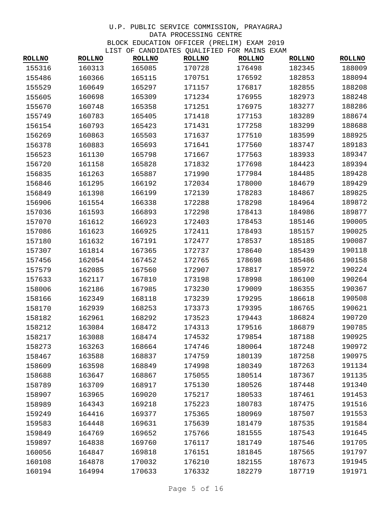| <b>ROLLNO</b> | <b>ROLLNO</b> | TIST OF CANDIDATES QUADIFIED FOR MAINS EAAM<br><b>ROLLNO</b> | <b>ROLLNO</b> | <b>ROLLNO</b> | <b>ROLLNO</b> | <b>ROLLNO</b> |
|---------------|---------------|--------------------------------------------------------------|---------------|---------------|---------------|---------------|
| 155316        | 160313        | 165085                                                       | 170728        | 176498        | 182345        | 188009        |
| 155486        | 160366        | 165115                                                       | 170751        | 176592        | 182853        | 188094        |
| 155529        | 160649        | 165297                                                       | 171157        | 176817        | 182855        | 188208        |
| 155605        | 160698        | 165309                                                       | 171234        | 176955        | 182973        | 188248        |
| 155670        | 160748        | 165358                                                       | 171251        | 176975        | 183277        | 188286        |
| 155749        | 160783        | 165405                                                       | 171418        | 177153        | 183289        | 188674        |
| 156154        | 160793        | 165423                                                       | 171431        | 177258        | 183299        | 188688        |
| 156269        | 160863        | 165503                                                       | 171637        | 177510        | 183599        | 188925        |
| 156378        | 160883        | 165693                                                       | 171641        | 177560        | 183747        | 189183        |
| 156523        | 161130        | 165798                                                       | 171667        | 177563        | 183933        | 189347        |
| 156720        | 161158        | 165828                                                       | 171832        | 177698        | 184423        | 189394        |
| 156835        | 161263        | 165887                                                       | 171990        | 177984        | 184485        | 189428        |
| 156846        | 161295        | 166192                                                       | 172034        | 178000        | 184679        | 189429        |
| 156849        | 161398        | 166199                                                       | 172139        | 178283        | 184867        | 189825        |
| 156906        | 161554        | 166338                                                       | 172288        | 178298        | 184964        | 189872        |
| 157036        | 161593        | 166893                                                       | 172298        | 178413        | 184986        | 189877        |
| 157070        | 161612        | 166923                                                       | 172403        | 178453        | 185146        | 190005        |
| 157086        | 161623        | 166925                                                       | 172411        | 178493        | 185157        | 190025        |
| 157180        | 161632        | 167191                                                       | 172477        | 178537        | 185185        | 190087        |
| 157307        | 161814        | 167365                                                       | 172737        | 178640        | 185439        | 190118        |
| 157456        | 162054        | 167452                                                       | 172765        | 178698        | 185486        | 190158        |
| 157579        | 162085        | 167560                                                       | 172907        | 178817        | 185972        | 190224        |
| 157633        | 162117        | 167810                                                       | 173198        | 178998        | 186100        | 190264        |
| 158006        | 162186        | 167985                                                       | 173230        | 179009        | 186355        | 190367        |
| 158166        | 162349        | 168118                                                       | 173239        | 179295        | 186618        | 190508        |
| 158170        | 162939        | 168253                                                       | 173373        | 179395        | 186765        | 190621        |
| 158182        | 162961        | 168292                                                       | 173523        | 179443        | 186824        | 190720        |
| 158212        | 163084        | 168472                                                       | 174313        | 179516        | 186879        | 190785        |
| 158217        | 163088        | 168474                                                       | 174532        | 179854        | 187188        | 190925        |
| 158273        | 163263        | 168664                                                       | 174746        | 180064        | 187248        | 190972        |
| 158467        | 163588        | 168837                                                       | 174759        | 180139        | 187258        | 190975        |
| 158609        | 163598        | 168849                                                       | 174998        | 180349        | 187263        | 191134        |
| 158688        | 163647        | 168867                                                       | 175055        | 180514        | 187367        | 191135        |
| 158789        | 163709        | 168917                                                       | 175130        | 180526        | 187448        | 191340        |
| 158907        | 163965        | 169020                                                       | 175217        | 180533        | 187461        | 191453        |
| 158989        | 164343        | 169218                                                       | 175223        | 180783        | 187475        | 191516        |
| 159249        | 164416        | 169377                                                       | 175365        | 180969        | 187507        | 191553        |
| 159583        | 164448        | 169631                                                       | 175639        | 181479        | 187535        | 191584        |
| 159849        | 164769        | 169652                                                       | 175766        | 181555        | 187543        | 191645        |
| 159897        | 164838        | 169760                                                       | 176117        | 181749        | 187546        | 191705        |
| 160056        | 164847        | 169818                                                       | 176151        | 181845        | 187565        | 191797        |
| 160108        | 164878        | 170032                                                       | 176210        | 182155        | 187673        | 191945        |
| 160194        | 164994        | 170633                                                       | 176332        | 182279        | 187719        | 191971        |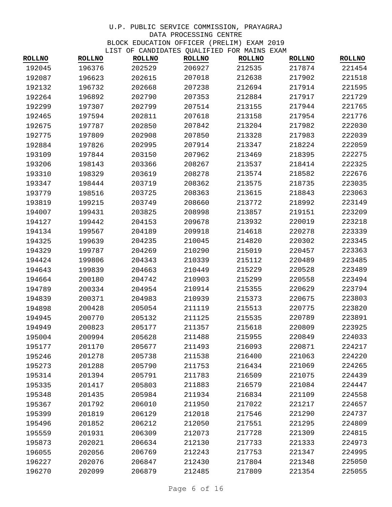|               |               | LISI OF CANDIDAILS QUALIFIED FOR MAINS LAAM |               |               |               |               |
|---------------|---------------|---------------------------------------------|---------------|---------------|---------------|---------------|
| <b>ROLLNO</b> | <b>ROLLNO</b> | <b>ROLLNO</b>                               | <b>ROLLNO</b> | <b>ROLLNO</b> | <b>ROLLNO</b> | <b>ROLLNO</b> |
| 192045        | 196376        | 202529                                      | 206927        | 212535        | 217874        | 221454        |
| 192087        | 196623        | 202615                                      | 207018        | 212638        | 217902        | 221518        |
| 192132        | 196732        | 202668                                      | 207238        | 212694        | 217914        | 221595        |
| 192264        | 196892        | 202790                                      | 207353        | 212884        | 217917        | 221729        |
| 192299        | 197307        | 202799                                      | 207514        | 213155        | 217944        | 221765        |
| 192465        | 197594        | 202811                                      | 207618        | 213158        | 217954        | 221776        |
| 192675        | 197787        | 202850                                      | 207842        | 213204        | 217982        | 222030        |
| 192775        | 197809        | 202908                                      | 207850        | 213328        | 217983        | 222039        |
| 192884        | 197826        | 202995                                      | 207914        | 213347        | 218224        | 222059        |
| 193109        | 197844        | 203150                                      | 207962        | 213469        | 218395        | 222275        |
| 193206        | 198143        | 203366                                      | 208267        | 213537        | 218414        | 222325        |
| 193310        | 198329        | 203619                                      | 208278        | 213574        | 218582        | 222676        |
| 193347        | 198444        | 203719                                      | 208362        | 213575        | 218735        | 223035        |
| 193779        | 198516        | 203725                                      | 208363        | 213615        | 218843        | 223063        |
| 193819        | 199215        | 203749                                      | 208660        | 213772        | 218992        | 223149        |
| 194007        | 199431        | 203825                                      | 208998        | 213857        | 219151        | 223209        |
| 194127        | 199442        | 204153                                      | 209678        | 213932        | 220019        | 223218        |
| 194134        | 199567        | 204189                                      | 209918        | 214618        | 220278        | 223339        |
| 194325        | 199639        | 204235                                      | 210045        | 214820        | 220302        | 223345        |
| 194329        | 199787        | 204269                                      | 210290        | 215019        | 220457        | 223363        |
| 194424        | 199806        | 204343                                      | 210339        | 215112        | 220489        | 223485        |
| 194643        | 199839        | 204663                                      | 210449        | 215229        | 220528        | 223489        |
| 194664        | 200180        | 204742                                      | 210903        | 215299        | 220558        | 223494        |
| 194789        | 200334        | 204954                                      | 210914        | 215355        | 220629        | 223794        |
| 194839        | 200371        | 204983                                      | 210939        | 215373        | 220675        | 223803        |
| 194898        | 200428        | 205054                                      | 211119        | 215513        | 220775        | 223820        |
| 194945        | 200770        | 205132                                      | 211125        | 215535        | 220789        | 223891        |
| 194949        | 200823        | 205177                                      | 211357        | 215618        | 220809        | 223925        |
| 195004        | 200994        | 205628                                      | 211488        | 215955        | 220849        | 224033        |
| 195177        | 201170        | 205677                                      | 211493        | 216093        | 220871        | 224217        |
| 195246        | 201278        | 205738                                      | 211538        | 216400        | 221063        | 224220        |
| 195273        | 201288        | 205790                                      | 211753        | 216434        | 221069        | 224265        |
| 195314        | 201394        | 205791                                      | 211783        | 216509        | 221075        | 224439        |
| 195335        | 201417        | 205803                                      | 211883        | 216579        | 221084        | 224447        |
| 195348        | 201435        | 205984                                      | 211934        | 216834        | 221109        | 224558        |
| 195367        | 201792        | 206010                                      | 211950        | 217022        | 221217        | 224657        |
| 195399        | 201819        | 206129                                      | 212018        | 217546        | 221290        | 224737        |
| 195496        | 201852        | 206212                                      | 212050        | 217551        | 221295        | 224809        |
| 195559        | 201931        | 206309                                      | 212073        | 217728        | 221309        | 224815        |
| 195873        | 202021        | 206634                                      | 212130        | 217733        | 221333        | 224973        |
| 196055        | 202056        | 206769                                      | 212243        | 217753        | 221347        | 224995        |
| 196227        | 202076        | 206847                                      | 212430        | 217804        | 221348        | 225050        |
| 196270        | 202099        | 206879                                      | 212485        | 217809        | 221354        | 225055        |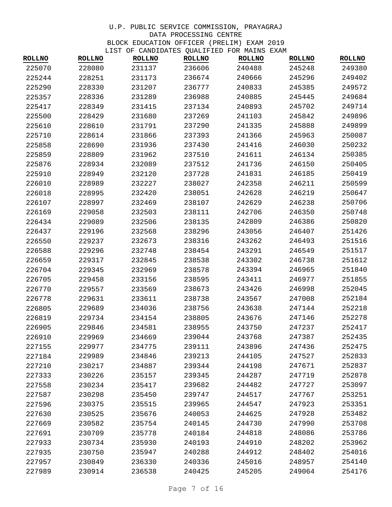| <b>ROLLNO</b> | <b>ROLLNO</b> | TISI OF CANDIDAILS QUALIFILD FOR MAINS LAAM<br><b>ROLLNO</b> | <b>ROLLNO</b> | <b>ROLLNO</b> | <b>ROLLNO</b> | <b>ROLLNO</b> |
|---------------|---------------|--------------------------------------------------------------|---------------|---------------|---------------|---------------|
| 225070        | 228080        | 231137                                                       | 236606        | 240488        | 245248        | 249380        |
| 225244        | 228251        | 231173                                                       | 236674        | 240666        | 245296        | 249402        |
| 225290        | 228330        | 231207                                                       | 236777        | 240833        | 245385        | 249572        |
| 225357        | 228336        | 231289                                                       | 236988        | 240885        | 245445        | 249684        |
| 225417        | 228349        | 231415                                                       | 237134        | 240893        | 245702        | 249714        |
| 225500        | 228429        | 231680                                                       | 237269        | 241103        | 245842        | 249896        |
| 225610        | 228610        | 231791                                                       | 237290        | 241335        | 245888        | 249899        |
| 225710        | 228614        | 231866                                                       | 237393        | 241366        | 245963        | 250087        |
| 225858        | 228690        | 231936                                                       | 237430        | 241416        | 246030        | 250232        |
| 225859        | 228809        | 231962                                                       | 237510        | 241611        | 246134        | 250385        |
| 225876        | 228934        | 232089                                                       | 237512        | 241736        | 246150        | 250405        |
| 225910        | 228949        | 232120                                                       | 237728        | 241831        | 246185        | 250419        |
| 226010        | 228989        | 232227                                                       | 238027        | 242358        | 246211        | 250599        |
| 226018        | 228995        | 232420                                                       | 238051        | 242628        | 246219        | 250647        |
| 226107        | 228997        | 232469                                                       | 238107        | 242629        | 246238        | 250706        |
| 226169        | 229058        | 232503                                                       | 238111        | 242706        | 246350        | 250748        |
| 226434        | 229089        | 232506                                                       | 238135        | 242809        | 246386        | 250820        |
| 226437        | 229196        | 232568                                                       | 238296        | 243056        | 246407        | 251426        |
| 226550        | 229237        | 232673                                                       | 238316        | 243262        | 246493        | 251516        |
| 226588        | 229296        | 232748                                                       | 238454        | 243291        | 246549        | 251517        |
| 226659        | 229317        | 232845                                                       | 238538        | 243302        | 246738        | 251612        |
| 226704        | 229345        | 232969                                                       | 238578        | 243394        | 246965        | 251840        |
| 226705        | 229458        | 233156                                                       | 238595        | 243411        | 246977        | 251855        |
| 226770        | 229557        | 233569                                                       | 238673        | 243426        | 246998        | 252045        |
| 226778        | 229631        | 233611                                                       | 238738        | 243567        | 247008        | 252184        |
| 226805        | 229689        | 234036                                                       | 238756        | 243638        | 247144        | 252218        |
| 226819        | 229734        | 234154                                                       | 238805        | 243676        | 247146        | 252278        |
| 226905        | 229846        | 234581                                                       | 238955        | 243750        | 247237        | 252417        |
| 226910        | 229969        | 234669                                                       | 239044        | 243768        | 247387        | 252435        |
| 227155        | 229977        | 234775                                                       | 239111        | 243896        | 247436        | 252475        |
| 227184        | 229989        | 234846                                                       | 239213        | 244105        | 247527        | 252833        |
| 227210        | 230217        | 234887                                                       | 239344        | 244198        | 247671        | 252837        |
| 227333        | 230226        | 235157                                                       | 239345        | 244287        | 247719        | 252878        |
| 227558        | 230234        | 235417                                                       | 239682        | 244482        | 247727        | 253097        |
| 227587        | 230298        | 235450                                                       | 239747        | 244517        | 247767        | 253251        |
| 227596        | 230375        | 235515                                                       | 239965        | 244547        | 247923        | 253351        |
| 227630        | 230525        | 235676                                                       | 240053        | 244625        | 247928        | 253482        |
| 227669        | 230582        | 235754                                                       | 240145        | 244730        | 247990        | 253708        |
| 227691        | 230709        | 235778                                                       | 240184        | 244818        | 248086        | 253786        |
| 227933        | 230734        | 235930                                                       | 240193        | 244910        | 248202        | 253962        |
| 227935        | 230750        | 235947                                                       | 240288        | 244912        | 248402        | 254016        |
| 227957        | 230849        | 236330                                                       | 240336        | 245016        | 248957        | 254140        |
| 227989        | 230914        | 236538                                                       | 240425        | 245205        | 249064        | 254176        |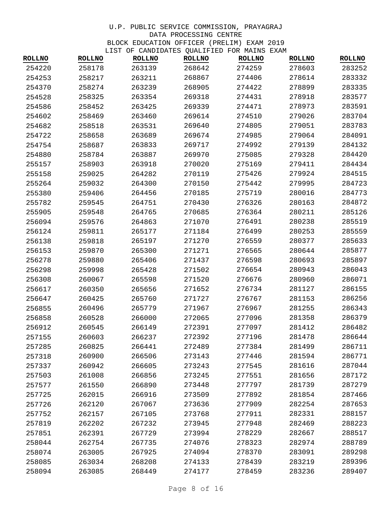| <b>ROLLNO</b> | <b>ROLLNO</b> | TIPI OL CANDIDAILD QUALILIED LOK MAIND EAAM<br><b>ROLLNO</b> | <b>ROLLNO</b> | <b>ROLLNO</b> | <b>ROLLNO</b> | <b>ROLLNO</b> |
|---------------|---------------|--------------------------------------------------------------|---------------|---------------|---------------|---------------|
| 254220        | 258178        | 263139                                                       | 268642        | 274259        | 278603        | 283252        |
| 254253        | 258217        | 263211                                                       | 268867        | 274406        | 278614        | 283332        |
| 254370        | 258274        | 263239                                                       | 268905        | 274422        | 278899        | 283335        |
| 254528        | 258325        | 263354                                                       | 269318        | 274431        | 278918        | 283577        |
| 254586        | 258452        | 263425                                                       | 269339        | 274471        | 278973        | 283591        |
| 254602        | 258469        | 263460                                                       | 269614        | 274510        | 279026        | 283704        |
| 254682        | 258518        | 263531                                                       | 269640        | 274805        | 279051        | 283783        |
| 254722        | 258658        | 263689                                                       | 269674        | 274985        | 279064        | 284091        |
| 254754        | 258687        | 263833                                                       | 269717        | 274992        | 279139        | 284132        |
| 254880        | 258784        | 263887                                                       | 269970        | 275085        | 279328        | 284420        |
| 255157        | 258903        | 263918                                                       | 270020        | 275169        | 279411        | 284434        |
| 255158        | 259025        | 264282                                                       | 270119        | 275426        | 279924        | 284515        |
| 255264        | 259032        | 264300                                                       | 270150        | 275442        | 279995        | 284723        |
| 255380        | 259406        | 264456                                                       | 270185        | 275719        | 280016        | 284773        |
| 255782        | 259545        | 264751                                                       | 270430        | 276326        | 280163        | 284872        |
| 255905        | 259548        | 264765                                                       | 270685        | 276364        | 280211        | 285126        |
| 256094        | 259576        | 264863                                                       | 271070        | 276491        | 280238        | 285519        |
| 256124        | 259811        | 265177                                                       | 271184        | 276499        | 280253        | 285559        |
| 256138        | 259818        | 265197                                                       | 271270        | 276559        | 280377        | 285633        |
| 256153        | 259870        | 265300                                                       | 271271        | 276565        | 280644        | 285877        |
| 256278        | 259880        | 265406                                                       | 271437        | 276598        | 280693        | 285897        |
| 256298        | 259998        | 265428                                                       | 271502        | 276654        | 280943        | 286043        |
| 256308        | 260067        | 265598                                                       | 271520        | 276676        | 280960        | 286071        |
| 256617        | 260350        | 265656                                                       | 271652        | 276734        | 281127        | 286155        |
| 256647        | 260425        | 265760                                                       | 271727        | 276767        | 281153        | 286256        |
| 256855        | 260496        | 265779                                                       | 271967        | 276967        | 281255        | 286343        |
| 256858        | 260528        | 266000                                                       | 272065        | 277096        | 281358        | 286379        |
| 256912        | 260545        | 266149                                                       | 272391        | 277097        | 281412        | 286482        |
| 257155        | 260603        | 266237                                                       | 272392        | 277196        | 281478        | 286644        |
| 257285        | 260825        | 266441                                                       | 272489        | 277384        | 281499        | 286711        |
| 257318        | 260900        | 266506                                                       | 273143        | 277446        | 281594        | 286771        |
| 257337        | 260942        | 266605                                                       | 273243        | 277545        | 281616        | 287044        |
| 257503        | 261008        | 266856                                                       | 273245        | 277551        | 281656        | 287172        |
| 257577        | 261550        | 266890                                                       | 273448        | 277797        | 281739        | 287279        |
| 257725        | 262015        | 266916                                                       | 273509        | 277892        | 281854        | 287466        |
| 257726        | 262120        | 267067                                                       | 273636        | 277909        | 282254        | 287653        |
| 257752        | 262157        | 267105                                                       | 273768        | 277911        | 282331        | 288157        |
| 257819        | 262202        | 267232                                                       | 273945        | 277948        | 282469        | 288223        |
| 257851        | 262391        | 267729                                                       | 273994        | 278229        | 282667        | 288517        |
| 258044        | 262754        | 267735                                                       | 274076        | 278323        | 282974        | 288789        |
| 258074        | 263005        | 267925                                                       | 274094        | 278370        | 283091        | 289298        |
| 258085        | 263034        | 268208                                                       | 274133        | 278439        | 283219        | 289396        |
| 258094        | 263085        | 268449                                                       | 274177        | 278459        | 283236        | 289407        |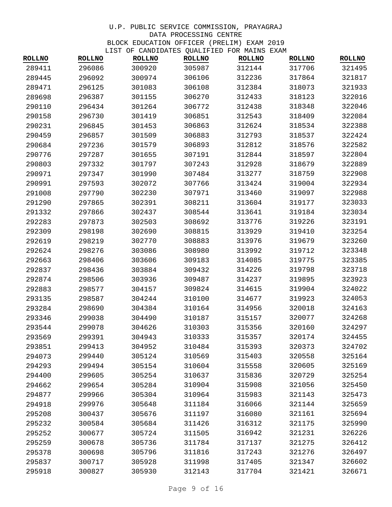| <b>ROLLNO</b> | ᆚᆚᇅ<br><b>ROLLNO</b> | <b>ROLLNO</b> | OF CANDIDATES QUALIFIED FOR MAINS EAAM<br><b>ROLLNO</b> | <b>ROLLNO</b> | <b>ROLLNO</b> | <b>ROLLNO</b> |
|---------------|----------------------|---------------|---------------------------------------------------------|---------------|---------------|---------------|
| 289411        | 296086               | 300920        | 305987                                                  | 312144        | 317706        | 321495        |
| 289445        | 296092               | 300974        | 306106                                                  | 312236        | 317864        | 321817        |
| 289471        | 296125               | 301083        | 306108                                                  | 312384        | 318073        | 321933        |
| 289698        | 296387               | 301155        | 306270                                                  | 312433        | 318123        | 322016        |
| 290110        | 296434               | 301264        | 306772                                                  | 312438        | 318348        | 322046        |
| 290158        | 296730               | 301419        | 306851                                                  | 312543        | 318409        | 322084        |
| 290231        | 296845               | 301453        | 306863                                                  | 312624        | 318534        | 322388        |
| 290459        | 296857               | 301509        | 306883                                                  | 312793        | 318537        | 322424        |
| 290684        | 297236               | 301579        | 306893                                                  | 312812        | 318576        | 322582        |
| 290776        | 297287               | 301655        | 307191                                                  | 312844        | 318597        | 322804        |
| 290803        | 297332               | 301797        | 307243                                                  | 312928        | 318679        | 322889        |
| 290971        | 297347               | 301990        | 307484                                                  | 313277        | 318759        | 322908        |
| 290991        | 297593               | 302072        | 307766                                                  | 313424        | 319004        | 322934        |
| 291008        | 297790               | 302230        | 307971                                                  | 313460        | 319097        | 322988        |
| 291290        | 297865               | 302391        | 308211                                                  | 313604        | 319177        | 323033        |
| 291332        | 297866               | 302437        | 308544                                                  | 313641        | 319184        | 323034        |
| 292283        | 297873               | 302503        | 308692                                                  | 313776        | 319226        | 323191        |
| 292309        | 298198               | 302690        | 308815                                                  | 313929        | 319410        | 323254        |
| 292619        | 298219               | 302770        | 308883                                                  | 313976        | 319679        | 323260        |
| 292624        | 298276               | 303086        | 308980                                                  | 313992        | 319712        | 323348        |
| 292663        | 298406               | 303606        | 309183                                                  | 314085        | 319775        | 323385        |
| 292837        | 298436               | 303884        | 309432                                                  | 314226        | 319798        | 323718        |
| 292874        | 298506               | 303936        | 309487                                                  | 314237        | 319895        | 323923        |
| 292883        | 298577               | 304157        | 309824                                                  | 314615        | 319904        | 324022        |
| 293135        | 298587               | 304244        | 310100                                                  | 314677        | 319923        | 324053        |
| 293284        | 298690               | 304384        | 310164                                                  | 314956        | 320018        | 324163        |
| 293346        | 299038               | 304490        | 310187                                                  | 315157        | 320077        | 324268        |
| 293544        | 299078               | 304626        | 310303                                                  | 315356        | 320160        | 324297        |
| 293569        | 299391               | 304943        | 310333                                                  | 315357        | 320174        | 324455        |
| 293851        | 299413               | 304952        | 310484                                                  | 315393        | 320373        | 324702        |
| 294073        | 299440               | 305124        | 310569                                                  | 315403        | 320558        | 325164        |
| 294293        | 299494               | 305154        | 310604                                                  | 315558        | 320605        | 325169        |
| 294400        | 299605               | 305254        | 310637                                                  | 315836        | 320729        | 325254        |
| 294662        | 299654               | 305284        | 310904                                                  | 315908        | 321056        | 325450        |
| 294877        | 299966               | 305304        | 310964                                                  | 315983        | 321143        | 325473        |
| 294918        | 299976               | 305648        | 311184                                                  | 316066        | 321144        | 325659        |
| 295208        | 300437               | 305676        | 311197                                                  | 316080        | 321161        | 325694        |
| 295232        | 300584               | 305684        | 311426                                                  | 316312        | 321175        | 325990        |
| 295252        | 300677               | 305724        | 311505                                                  | 316942        | 321231        | 326226        |
| 295259        | 300678               | 305736        | 311784                                                  | 317137        | 321275        | 326412        |
| 295378        | 300698               | 305796        | 311816                                                  | 317243        | 321276        | 326497        |
| 295837        | 300717               | 305928        | 311998                                                  | 317405        | 321347        | 326602        |
| 295918        | 300827               | 305930        | 312143                                                  | 317704        | 321421        | 326671        |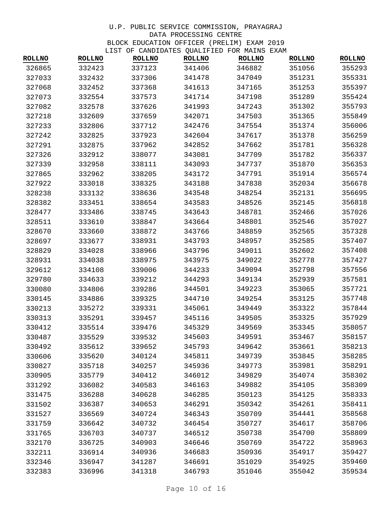| <b>ROLLNO</b> | <b>ROLLNO</b> | TIPI OF CANDIDAILD QUALIFIED FOR MAIND EAAM<br><b>ROLLNO</b> | <b>ROLLNO</b> | <b>ROLLNO</b> | <b>ROLLNO</b> | <b>ROLLNO</b> |
|---------------|---------------|--------------------------------------------------------------|---------------|---------------|---------------|---------------|
| 326865        | 332423        | 337123                                                       | 341406        | 346882        | 351056        | 355293        |
| 327033        | 332432        | 337306                                                       | 341478        | 347049        | 351231        | 355331        |
| 327068        | 332452        | 337368                                                       | 341613        | 347165        | 351253        | 355397        |
| 327073        | 332554        | 337573                                                       | 341714        | 347198        | 351289        | 355424        |
| 327082        | 332578        | 337626                                                       | 341993        | 347243        | 351302        | 355793        |
| 327218        | 332609        | 337659                                                       | 342071        | 347503        | 351365        | 355849        |
| 327233        | 332806        | 337712                                                       | 342476        | 347554        | 351374        | 356006        |
| 327242        | 332825        | 337923                                                       | 342604        | 347617        | 351378        | 356259        |
| 327291        | 332875        | 337962                                                       | 342852        | 347662        | 351781        | 356328        |
| 327326        | 332912        | 338077                                                       | 343081        | 347709        | 351782        | 356337        |
| 327339        | 332958        | 338111                                                       | 343093        | 347737        | 351870        | 356353        |
| 327865        | 332962        | 338205                                                       | 343172        | 347791        | 351914        | 356574        |
| 327922        | 333018        | 338325                                                       | 343188        | 347838        | 352034        | 356678        |
| 328238        | 333132        | 338636                                                       | 343548        | 348254        | 352131        | 356695        |
| 328382        | 333451        | 338654                                                       | 343583        | 348526        | 352145        | 356818        |
| 328477        | 333486        | 338745                                                       | 343643        | 348781        | 352466        | 357026        |
| 328511        | 333610        | 338847                                                       | 343664        | 348801        | 352546        | 357027        |
| 328670        | 333660        | 338872                                                       | 343766        | 348859        | 352565        | 357328        |
| 328697        | 333677        | 338931                                                       | 343793        | 348957        | 352585        | 357407        |
| 328829        | 334028        | 338966                                                       | 343796        | 349011        | 352602        | 357408        |
| 328931        | 334038        | 338975                                                       | 343975        | 349022        | 352778        | 357427        |
| 329612        | 334108        | 339006                                                       | 344233        | 349094        | 352798        | 357556        |
| 329780        | 334633        | 339212                                                       | 344293        | 349134        | 352939        | 357581        |
| 330080        | 334806        | 339286                                                       | 344501        | 349223        | 353065        | 357721        |
| 330145        | 334886        | 339325                                                       | 344710        | 349254        | 353125        | 357748        |
| 330213        | 335272        | 339331                                                       | 345061        | 349449        | 353322        | 357844        |
| 330313        | 335291        | 339457                                                       | 345116        | 349505        | 353325        | 357929        |
| 330412        | 335514        | 339476                                                       | 345329        | 349569        | 353345        | 358057        |
| 330487        | 335529        | 339532                                                       | 345603        | 349591        | 353467        | 358157        |
| 330492        | 335612        | 339652                                                       | 345793        | 349642        | 353661        | 358213        |
| 330606        | 335620        | 340124                                                       | 345811        | 349739        | 353845        | 358285        |
| 330827        | 335718        | 340257                                                       | 345936        | 349773        | 353981        | 358291        |
| 330905        | 335779        | 340412                                                       | 346012        | 349829        | 354074        | 358302        |
| 331292        | 336082        | 340583                                                       | 346163        | 349882        | 354105        | 358309        |
| 331475        | 336288        | 340628                                                       | 346285        | 350123        | 354125        | 358333        |
| 331502        | 336387        | 340653                                                       | 346291        | 350342        | 354261        | 358411        |
| 331527        | 336569        | 340724                                                       | 346343        | 350709        | 354441        | 358568        |
| 331759        | 336642        | 340732                                                       | 346454        | 350727        | 354617        | 358706        |
| 331765        | 336703        | 340737                                                       | 346512        | 350738        | 354700        | 358809        |
| 332170        | 336725        | 340903                                                       | 346646        | 350769        | 354722        | 358963        |
| 332211        | 336914        | 340936                                                       | 346683        | 350936        | 354917        | 359427        |
| 332346        | 336947        | 341287                                                       | 346691        | 351029        | 354925        | 359460        |
| 332383        | 336996        | 341318                                                       | 346793        | 351046        | 355042        | 359534        |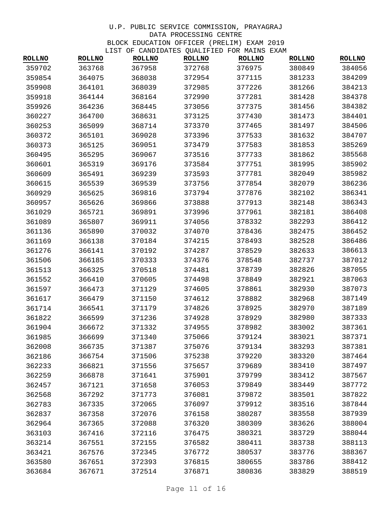| <b>ROLLNO</b> | <b>ROLLNO</b> | TIST OF CANDIDATES QUADIFIED FOR MAINS EAAM<br><b>ROLLNO</b> | <b>ROLLNO</b> | <b>ROLLNO</b> | <b>ROLLNO</b> | <b>ROLLNO</b> |
|---------------|---------------|--------------------------------------------------------------|---------------|---------------|---------------|---------------|
| 359702        | 363768        | 367958                                                       | 372768        | 376975        | 380849        | 384056        |
| 359854        | 364075        | 368038                                                       | 372954        | 377115        | 381233        | 384209        |
| 359908        | 364101        | 368039                                                       | 372985        | 377226        | 381266        | 384213        |
| 359918        | 364144        | 368164                                                       | 372990        | 377281        | 381428        | 384378        |
| 359926        | 364236        | 368445                                                       | 373056        | 377375        | 381456        | 384382        |
| 360227        | 364700        | 368631                                                       | 373125        | 377430        | 381473        | 384401        |
| 360253        | 365099        | 368714                                                       | 373370        | 377465        | 381497        | 384506        |
| 360372        | 365101        | 369028                                                       | 373396        | 377533        | 381632        | 384707        |
| 360373        | 365125        | 369051                                                       | 373479        | 377583        | 381853        | 385269        |
| 360495        | 365295        | 369067                                                       | 373516        | 377733        | 381862        | 385568        |
| 360601        | 365319        | 369176                                                       | 373584        | 377751        | 381995        | 385902        |
| 360609        | 365491        | 369239                                                       | 373593        | 377781        | 382049        | 385982        |
| 360615        | 365539        | 369539                                                       | 373756        | 377854        | 382079        | 386236        |
| 360929        | 365625        | 369816                                                       | 373794        | 377876        | 382102        | 386341        |
| 360957        | 365626        | 369866                                                       | 373888        | 377913        | 382148        | 386343        |
| 361029        | 365721        | 369891                                                       | 373996        | 377961        | 382181        | 386408        |
| 361089        | 365807        | 369911                                                       | 374056        | 378332        | 382293        | 386412        |
| 361136        | 365890        | 370032                                                       | 374070        | 378436        | 382475        | 386452        |
| 361169        | 366138        | 370184                                                       | 374215        | 378493        | 382528        | 386486        |
| 361276        | 366141        | 370192                                                       | 374287        | 378529        | 382633        | 386613        |
| 361506        | 366185        | 370333                                                       | 374376        | 378548        | 382737        | 387012        |
| 361513        | 366325        | 370518                                                       | 374481        | 378739        | 382826        | 387055        |
| 361552        | 366410        | 370605                                                       | 374498        | 378849        | 382921        | 387063        |
| 361597        | 366473        | 371129                                                       | 374605        | 378861        | 382930        | 387073        |
| 361617        | 366479        | 371150                                                       | 374612        | 378882        | 382968        | 387149        |
| 361714        | 366541        | 371179                                                       | 374826        | 378925        | 382970        | 387189        |
| 361822        | 366599        | 371236                                                       | 374928        | 378929        | 382980        | 387333        |
| 361904        | 366672        | 371332                                                       | 374955        | 378982        | 383002        | 387361        |
| 361985        | 366699        | 371340                                                       | 375066        | 379124        | 383021        | 387371        |
| 362008        | 366735        | 371387                                                       | 375076        | 379134        | 383293        | 387381        |
| 362186        | 366754        | 371506                                                       | 375238        | 379220        | 383320        | 387464        |
| 362233        | 366821        | 371556                                                       | 375657        | 379689        | 383410        | 387497        |
| 362259        | 366878        | 371641                                                       | 375901        | 379799        | 383412        | 387567        |
| 362457        | 367121        | 371658                                                       | 376053        | 379849        | 383449        | 387772        |
| 362568        | 367292        | 371773                                                       | 376081        | 379872        | 383501        | 387822        |
| 362783        | 367335        | 372065                                                       | 376097        | 379912        | 383516        | 387844        |
| 362837        | 367358        | 372076                                                       | 376158        | 380287        | 383558        | 387939        |
| 362964        | 367365        | 372088                                                       | 376320        | 380309        | 383626        | 388004        |
| 363103        | 367416        | 372116                                                       | 376475        | 380321        | 383729        | 388044        |
| 363214        | 367551        | 372155                                                       | 376582        | 380411        | 383738        | 388113        |
| 363421        | 367576        | 372345                                                       | 376772        | 380537        | 383776        | 388367        |
| 363580        | 367651        | 372393                                                       | 376815        | 380655        | 383786        | 388412        |
| 363684        | 367671        | 372514                                                       | 376871        | 380836        | 383829        | 388519        |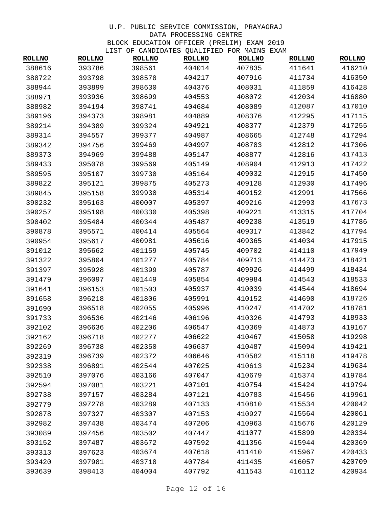| <b>ROLLNO</b> | <b>ROLLNO</b> | <b>ROLLNO</b> | CANDIDAILD QUADII IDD I OK FEIND<br><b>ROLLNO</b> | <b>ROLLNO</b> | <b>ROLLNO</b> | <b>ROLLNO</b> |
|---------------|---------------|---------------|---------------------------------------------------|---------------|---------------|---------------|
| 388616        | 393786        | 398561        | 404014                                            | 407835        | 411641        | 416210        |
| 388722        | 393798        | 398578        | 404217                                            | 407916        | 411734        | 416350        |
| 388944        | 393899        | 398630        | 404376                                            | 408031        | 411859        | 416428        |
| 388971        | 393936        | 398699        | 404553                                            | 408072        | 412034        | 416880        |
| 388982        | 394194        | 398741        | 404684                                            | 408089        | 412087        | 417010        |
| 389196        | 394373        | 398981        | 404889                                            | 408376        | 412295        | 417115        |
| 389214        | 394389        | 399324        | 404921                                            | 408377        | 412379        | 417255        |
| 389314        | 394557        | 399377        | 404987                                            | 408665        | 412748        | 417294        |
| 389342        | 394756        | 399469        | 404997                                            | 408783        | 412812        | 417306        |
| 389373        | 394969        | 399488        | 405147                                            | 408877        | 412816        | 417413        |
| 389433        | 395078        | 399569        | 405149                                            | 408904        | 412913        | 417422        |
| 389595        | 395107        | 399730        | 405164                                            | 409032        | 412915        | 417450        |
| 389822        | 395121        | 399875        | 405273                                            | 409128        | 412930        | 417496        |
| 389845        | 395158        | 399930        | 405314                                            | 409152        | 412991        | 417566        |
| 390232        | 395163        | 400007        | 405397                                            | 409216        | 412993        | 417673        |
| 390257        | 395198        | 400330        | 405398                                            | 409221        | 413315        | 417704        |
| 390402        | 395484        | 400344        | 405487                                            | 409238        | 413519        | 417786        |
| 390878        | 395571        | 400414        | 405564                                            | 409317        | 413842        | 417794        |
| 390954        | 395617        | 400981        | 405616                                            | 409365        | 414034        | 417915        |
| 391012        | 395662        | 401159        | 405745                                            | 409702        | 414110        | 417949        |
| 391322        | 395804        | 401277        | 405784                                            | 409713        | 414473        | 418421        |
| 391397        | 395928        | 401399        | 405787                                            | 409926        | 414499        | 418434        |
| 391479        | 396097        | 401449        | 405854                                            | 409984        | 414543        | 418533        |
| 391641        | 396153        | 401503        | 405937                                            | 410039        | 414544        | 418694        |
| 391658        | 396218        | 401806        | 405991                                            | 410152        | 414690        | 418726        |
| 391690        | 396518        | 402055        | 405996                                            | 410247        | 414702        | 418781        |
| 391733        | 396536        | 402146        | 406196                                            | 410326        | 414793        | 418933        |
| 392102        | 396636        | 402206        | 406547                                            | 410369        | 414873        | 419167        |
| 392162        | 396718        | 402277        | 406622                                            | 410467        | 415058        | 419298        |
| 392269        | 396738        | 402350        | 406637                                            | 410487        | 415094        | 419421        |
| 392319        | 396739        | 402372        | 406646                                            | 410582        | 415118        | 419478        |
| 392338        | 396891        | 402544        | 407025                                            | 410613        | 415234        | 419634        |
| 392510        | 397076        | 403166        | 407047                                            | 410679        | 415374        | 419784        |
| 392594        | 397081        | 403221        | 407101                                            | 410754        | 415424        | 419794        |
| 392738        | 397157        | 403284        | 407121                                            | 410783        | 415456        | 419961        |
| 392779        | 397278        | 403289        | 407133                                            | 410810        | 415534        | 420042        |
| 392878        | 397327        | 403307        | 407153                                            | 410927        | 415564        | 420061        |
| 392982        | 397438        | 403474        | 407206                                            | 410963        | 415676        | 420129        |
| 393089        | 397456        | 403502        | 407447                                            | 411077        | 415899        | 420334        |
| 393152        | 397487        | 403672        | 407592                                            | 411356        | 415944        | 420369        |
| 393313        | 397623        | 403674        | 407618                                            | 411410        | 415967        | 420433        |
| 393420        | 397981        | 403718        | 407784                                            | 411435        | 416057        | 420709        |
| 393639        | 398413        | 404004        | 407792                                            | 411543        | 416112        | 420934        |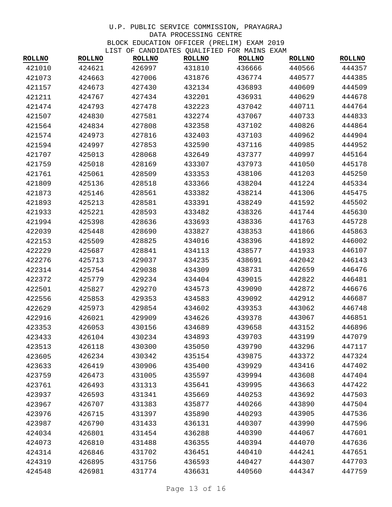| <b>ROLLNO</b> | <b>ROLLNO</b> | <b>ROLLNO</b> | OF CANDIDATED QUADITIED FOR MAIND<br><b>ROLLNO</b> | <b>ROLLNO</b> | 11717171<br><b>ROLLNO</b> | <b>ROLLNO</b> |
|---------------|---------------|---------------|----------------------------------------------------|---------------|---------------------------|---------------|
| 421010        | 424621        | 426997        | 431810                                             | 436666        | 440566                    | 444357        |
| 421073        | 424663        | 427006        | 431876                                             | 436774        | 440577                    | 444385        |
| 421157        | 424673        | 427430        | 432134                                             | 436893        | 440609                    | 444509        |
| 421211        | 424767        | 427434        | 432201                                             | 436931        | 440629                    | 444678        |
| 421474        | 424793        | 427478        | 432223                                             | 437042        | 440711                    | 444764        |
| 421507        | 424830        | 427581        | 432274                                             | 437067        | 440733                    | 444833        |
| 421564        | 424834        | 427808        | 432358                                             | 437102        | 440826                    | 444864        |
| 421574        | 424973        | 427816        | 432403                                             | 437103        | 440962                    | 444904        |
| 421594        | 424997        | 427853        | 432590                                             | 437116        | 440985                    | 444952        |
| 421707        | 425013        | 428068        | 432649                                             | 437377        | 440997                    | 445164        |
| 421759        | 425018        | 428169        | 433307                                             | 437973        | 441050                    | 445178        |
| 421761        | 425061        | 428509        | 433353                                             | 438106        | 441203                    | 445250        |
| 421809        | 425136        | 428518        | 433366                                             | 438204        | 441224                    | 445334        |
| 421873        | 425146        | 428561        | 433382                                             | 438214        | 441306                    | 445475        |
| 421893        | 425213        | 428581        | 433391                                             | 438249        | 441592                    | 445502        |
| 421933        | 425221        | 428593        | 433482                                             | 438326        | 441744                    | 445630        |
| 421994        | 425398        | 428636        | 433693                                             | 438336        | 441763                    | 445728        |
| 422039        | 425448        | 428690        | 433827                                             | 438353        | 441866                    | 445863        |
| 422153        | 425509        | 428825        | 434016                                             | 438396        | 441892                    | 446002        |
| 422229        | 425687        | 428841        | 434113                                             | 438577        | 441933                    | 446107        |
| 422276        | 425713        | 429037        | 434235                                             | 438691        | 442042                    | 446143        |
| 422314        | 425754        | 429038        | 434309                                             | 438731        | 442659                    | 446476        |
| 422372        | 425779        | 429234        | 434404                                             | 439015        | 442822                    | 446481        |
| 422501        | 425827        | 429270        | 434573                                             | 439090        | 442872                    | 446676        |
| 422556        | 425853        | 429353        | 434583                                             | 439092        | 442912                    | 446687        |
| 422629        | 425973        | 429854        | 434602                                             | 439353        | 443062                    | 446748        |
| 422916        | 426021        | 429909        | 434626                                             | 439378        | 443067                    | 446851        |
| 423353        | 426053        | 430156        | 434689                                             | 439658        | 443152                    | 446896        |
| 423433        | 426104        | 430234        | 434893                                             | 439703        | 443199                    | 447079        |
| 423513        | 426118        | 430300        | 435050                                             | 439790        | 443296                    | 447117        |
| 423605        | 426234        | 430342        | 435154                                             | 439875        | 443372                    | 447324        |
| 423633        | 426419        | 430906        | 435400                                             | 439929        | 443416                    | 447402        |
| 423759        | 426473        | 431005        | 435597                                             | 439994        | 443608                    | 447404        |
| 423761        | 426493        | 431313        | 435641                                             | 439995        | 443663                    | 447422        |
| 423937        | 426593        | 431341        | 435669                                             | 440253        | 443692                    | 447503        |
| 423967        | 426707        | 431383        | 435877                                             | 440266        | 443890                    | 447504        |
| 423976        | 426715        | 431397        | 435890                                             | 440293        | 443905                    | 447536        |
| 423987        | 426790        | 431433        | 436131                                             | 440307        | 443990                    | 447596        |
| 424034        | 426801        | 431454        | 436288                                             | 440390        | 444067                    | 447601        |
| 424073        | 426810        | 431488        | 436355                                             | 440394        | 444070                    | 447636        |
| 424314        | 426846        | 431702        | 436451                                             | 440410        | 444241                    | 447651        |
| 424319        | 426895        | 431756        | 436593                                             | 440427        | 444307                    | 447703        |
| 424548        | 426981        | 431774        | 436631                                             | 440560        | 444347                    | 447759        |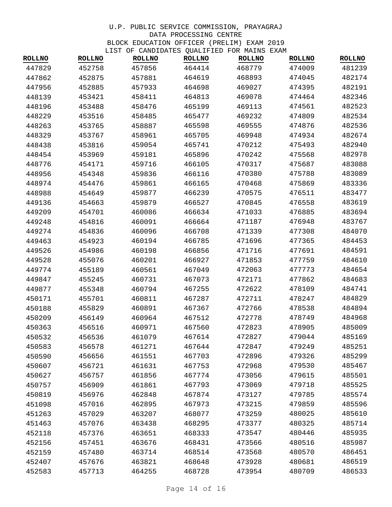| <b>ROLLNO</b> | <b>ROLLNO</b> | <b>ROLLNO</b> | CANDIDAILDO QUADILIDO I OR PAIND<br><b>ROLLNO</b> | <b>ROLLNO</b> | <b>ROLLNO</b> | <b>ROLLNO</b> |
|---------------|---------------|---------------|---------------------------------------------------|---------------|---------------|---------------|
| 447829        | 452758        | 457856        | 464414                                            | 468779        | 474009        | 481239        |
| 447862        | 452875        | 457881        | 464619                                            | 468893        | 474045        | 482174        |
| 447956        | 452885        | 457933        | 464698                                            | 469027        | 474395        | 482191        |
| 448139        | 453421        | 458411        | 464813                                            | 469078        | 474464        | 482346        |
| 448196        | 453488        | 458476        | 465199                                            | 469113        | 474561        | 482523        |
| 448229        | 453516        | 458485        | 465477                                            | 469232        | 474809        | 482534        |
| 448263        | 453765        | 458887        | 465598                                            | 469555        | 474876        | 482536        |
| 448329        | 453767        | 458961        | 465705                                            | 469948        | 474934        | 482674        |
| 448438        | 453816        | 459054        | 465741                                            | 470212        | 475493        | 482940        |
| 448454        | 453969        | 459181        | 465896                                            | 470242        | 475568        | 482978        |
| 448776        | 454171        | 459716        | 466105                                            | 470317        | 475687        | 483088        |
| 448956        | 454348        | 459836        | 466116                                            | 470380        | 475788        | 483089        |
| 448974        | 454476        | 459861        | 466165                                            | 470468        | 475869        | 483336        |
| 448988        | 454649        | 459877        | 466239                                            | 470575        | 476511        | 483477        |
| 449136        | 454663        | 459879        | 466527                                            | 470845        | 476558        | 483619        |
| 449209        | 454701        | 460086        | 466634                                            | 471033        | 476885        | 483694        |
| 449248        | 454816        | 460091        | 466664                                            | 471187        | 476948        | 483767        |
| 449274        | 454836        | 460096        | 466708                                            | 471339        | 477308        | 484070        |
| 449463        | 454923        | 460194        | 466785                                            | 471696        | 477365        | 484453        |
| 449526        | 454986        | 460198        | 466856                                            | 471716        | 477691        | 484591        |
| 449528        | 455076        | 460201        | 466927                                            | 471853        | 477759        | 484610        |
| 449774        | 455189        | 460561        | 467049                                            | 472063        | 477773        | 484654        |
| 449847        | 455245        | 460731        | 467073                                            | 472171        | 477862        | 484683        |
| 449877        | 455348        | 460794        | 467255                                            | 472622        | 478109        | 484741        |
| 450171        | 455701        | 460811        | 467287                                            | 472711        | 478247        | 484829        |
| 450188        | 455829        | 460891        | 467367                                            | 472766        | 478538        | 484894        |
| 450209        | 456149        | 460964        | 467512                                            | 472778        | 478749        | 484968        |
| 450363        | 456516        | 460971        | 467560                                            | 472823        | 478905        | 485009        |
| 450532        | 456536        | 461079        | 467614                                            | 472827        | 479044        | 485169        |
| 450583        | 456578        | 461271        | 467644                                            | 472847        | 479249        | 485251        |
| 450590        | 456656        | 461551        | 467703                                            | 472896        | 479326        | 485299        |
| 450607        | 456721        | 461631        | 467753                                            | 472968        | 479530        | 485467        |
| 450627        | 456757        | 461856        | 467774                                            | 473056        | 479615        | 485501        |
| 450757        | 456909        | 461861        | 467793                                            | 473069        | 479718        | 485525        |
| 450819        | 456976        | 462848        | 467874                                            | 473127        | 479785        | 485574        |
| 451098        | 457016        | 462895        | 467973                                            | 473215        | 479859        | 485596        |
| 451263        | 457029        | 463207        | 468077                                            | 473259        | 480025        | 485610        |
| 451463        | 457076        | 463438        | 468295                                            | 473377        | 480325        | 485714        |
| 452118        | 457376        | 463651        | 468333                                            | 473547        | 480446        | 485935        |
| 452156        | 457451        | 463676        | 468431                                            | 473566        | 480516        | 485987        |
| 452159        | 457480        | 463714        | 468514                                            | 473568        | 480570        | 486451        |
| 452407        | 457676        | 463821        | 468648                                            | 473928        | 480681        | 486519        |
| 452583        | 457713        | 464255        | 468728                                            | 473954        | 480709        | 486533        |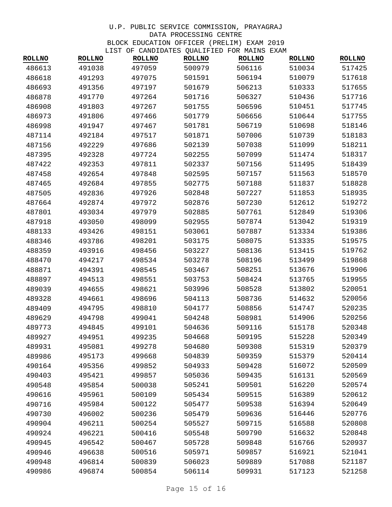| <b>ROLLNO</b> | ᆈᆂᇦᆂ<br><b>ROLLNO</b> | <b>ROLLNO</b> | <b>ROLLNO</b> | OF CANDIDATED QUADIFIED FOR MAIND EARM<br><b>ROLLNO</b> | <b>ROLLNO</b> | <b>ROLLNO</b> |
|---------------|-----------------------|---------------|---------------|---------------------------------------------------------|---------------|---------------|
| 486613        | 491038                | 497059        | 500979        | 506116                                                  | 510034        | 517425        |
| 486618        | 491293                | 497075        | 501591        | 506194                                                  | 510079        | 517618        |
| 486693        | 491356                | 497197        | 501679        | 506213                                                  | 510333        | 517655        |
| 486878        | 491770                | 497264        | 501716        | 506327                                                  | 510436        | 517716        |
| 486908        | 491803                | 497267        | 501755        | 506596                                                  | 510451        | 517745        |
| 486973        | 491806                | 497466        | 501779        | 506656                                                  | 510644        | 517755        |
| 486998        | 491947                | 497467        | 501781        | 506719                                                  | 510698        | 518146        |
| 487114        | 492184                | 497517        | 501871        | 507006                                                  | 510739        | 518183        |
| 487156        | 492229                | 497686        | 502139        | 507038                                                  | 511099        | 518211        |
| 487395        | 492328                | 497724        | 502255        | 507099                                                  | 511474        | 518317        |
| 487422        | 492353                | 497811        | 502337        | 507156                                                  | 511495        | 518439        |
| 487458        | 492654                | 497848        | 502595        | 507157                                                  | 511563        | 518570        |
| 487465        | 492684                | 497855        | 502775        | 507188                                                  | 511837        | 518828        |
| 487505        | 492836                | 497926        | 502848        | 507227                                                  | 511853        | 518935        |
| 487664        | 492874                | 497972        | 502876        | 507230                                                  | 512612        | 519272        |
| 487801        | 493034                | 497979        | 502885        | 507761                                                  | 512849        | 519306        |
| 487918        | 493050                | 498099        | 502955        | 507874                                                  | 513042        | 519319        |
| 488133        | 493426                | 498151        | 503061        | 507887                                                  | 513334        | 519386        |
| 488346        | 493786                | 498201        | 503175        | 508075                                                  | 513335        | 519575        |
| 488359        | 493916                | 498456        | 503227        | 508136                                                  | 513415        | 519762        |
| 488470        | 494217                | 498534        | 503278        | 508196                                                  | 513499        | 519868        |
| 488871        | 494391                | 498545        | 503467        | 508251                                                  | 513676        | 519906        |
| 488897        | 494513                | 498551        | 503753        | 508424                                                  | 513765        | 519955        |
| 489039        | 494655                | 498621        | 503996        | 508528                                                  | 513802        | 520051        |
| 489328        | 494661                | 498696        | 504113        | 508736                                                  | 514632        | 520056        |
| 489409        | 494795                | 498810        | 504177        | 508856                                                  | 514747        | 520235        |
| 489629        | 494798                | 499041        | 504248        | 508981                                                  | 514906        | 520256        |
| 489773        | 494845                | 499101        | 504636        | 509116                                                  | 515178        | 520348        |
| 489927        | 494951                | 499235        | 504668        | 509195                                                  | 515228        | 520349        |
| 489931        | 495081                | 499278        | 504680        | 509308                                                  | 515319        | 520379        |
| 489986        | 495173                | 499668        | 504839        | 509359                                                  | 515379        | 520414        |
| 490164        | 495356                | 499852        | 504933        | 509428                                                  | 516072        | 520509        |
| 490403        | 495421                | 499857        | 505036        | 509435                                                  | 516131        | 520569        |
| 490548        | 495854                | 500038        | 505241        | 509501                                                  | 516220        | 520574        |
| 490616        | 495961                | 500109        | 505434        | 509515                                                  | 516389        | 520612        |
| 490716        | 495984                | 500122        | 505477        | 509538                                                  | 516394        | 520649        |
| 490730        | 496002                | 500236        | 505479        | 509636                                                  | 516446        | 520776        |
| 490904        | 496211                | 500254        | 505527        | 509715                                                  | 516588        | 520808        |
| 490924        | 496221                | 500416        | 505548        | 509790                                                  | 516632        | 520848        |
| 490945        | 496542                | 500467        | 505728        | 509848                                                  | 516766        | 520937        |
| 490946        | 496638                | 500516        | 505971        | 509857                                                  | 516921        | 521041        |
| 490948        | 496814                | 500839        | 506023        | 509889                                                  | 517088        | 521187        |
| 490986        | 496874                | 500854        | 506114        | 509931                                                  | 517123        | 521258        |